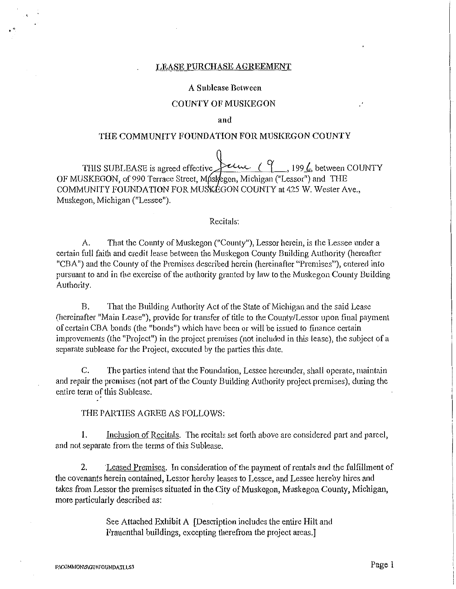## LEASE PURCHASE AGREEMENT

## A Sublease Between

## COUNTY OF MUSKEGON

### and

## THE COMMUNITY FOUNDATION FOR MUSKEGON COUNTY

THIS SUBLEASE is agreed effective  $\overbrace{'}^{e\mu}$ , 199 $\underline{\ell}$ , between COUNTY OF MUSKEGON, of 990 Terrace Street, Muskegon, Michigan ("Lessor") and THE COMMUNITY FOUNDATION FOR MUSKEGON COUNTY at 425 W. Wester Ave., Muskegon, Michigan ("Lessee").

# Recitals:

A. That the County of Muskegon ("County"), Lessor herein, is the Lessee under a certain full faith and credit lease between the Muskegon County Building Authority (hereafter "CBA") and the County of the Premises described herein (hereinafter "Premises"), entered into pursuant to and in the exercise of the authority granted by law to the Muskegon County Building Authority.

B. That the Building Authority Act of the State of Michigan and the said Lease (hereinafter "Main Lease"), provide for transfer of title to the County/Lessor upon final payment of certain CBA bonds (the "bonds") which have been or will be issued to finance certain improvements (the "Project") in the project premises (not included in this lease), the subject of a separate sublease for the Project, executed by the parties this date.

C. The parties intend that the Foundation, Lessee hereunder, shall operate, maintain and repair the premises (not part of the County Building Authority project premises), during the entire term of this Sublease.

## THE PARTIES AGREE AS FOLLOWS:

l. Inclusion of Recitals. The recitals set forth above are considered part and parcel, and not separate from the terms of this Sublease.

2. Leased Premises. In consideration of the payment of rentals and the fulfillment of the covenants herein contained, Lessor hereby leases to Lessee, and Lessee hereby hires and takes from Lessor the premises situated in the City of Muskegon, Muskegon County, Michigan, more particularly described as:

> See Attached Exhibit A [Description includes the entire Hilt and Frauenthal buildings, excepting therefrom the project areas.]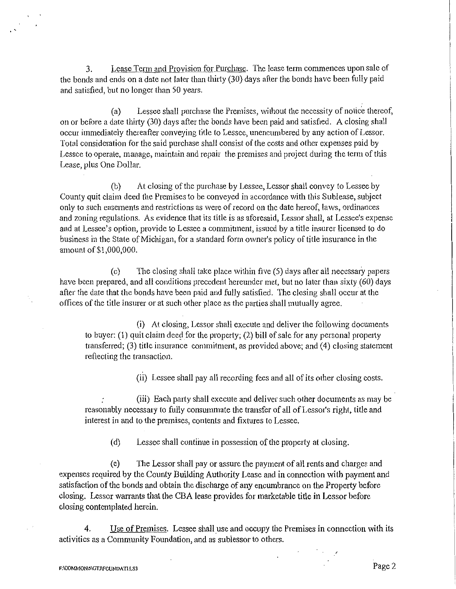3. Lease Term and Provision for Purchase. The lease tetm commences upon sale of the bonds and ends on a date not later than thitty (30) days after the bonds have been fully paid and satisfied, but no longer than 50 years.

(a) Lessee shall purchase the Premises, without the necessity of notice thereof, on or before a date thirty (30) days after the bonds have been paid and satisfied. A closing shall occur immediately thereafter conveying title to Lessee, unencumbered by any action of Lessor. Total consideration for the said purchase shall consist of the costs and other expenses paid by Lessee to operate, manage, maintain and repair the premises and project during the term of this Lease, plus One Dollar.

(b) At closing of the purchase by Lessee, Lessor shall convey to Lessee by County quit claim deed the Premises to be conveyed in accordance with this Sublease, subject only to such easements and restrictions as were of record on the date hereof, laws, ordinances and zoning regulations. As evidence that its title is as aforesaid, Lessor shall, at Lessee's expense and at Lessee's option, provide to Lessee a commitment, issued by a title insurer licensed to do business in the State of Michigan, for a standard form owner's policy of title insurance in the amount of \$1,000,000.

(c) The closing shall take place within five (5) days after all necessary papers have been prepared, and all conditions precedent hereunder met, but no later than sixty (60) days after the date that the bonds have been paid and fully satisfied. The closing shall occur at the offices of the title insurer or at such other place as the parties shall mutually agree.

(i) At closing, Lessor shall execute and deliver the following documents to buyer: (I) quit claim deed for the property; (2) bill of sale for any personal property transferred; (3) title insurance commitment, as provided above; and (4) closing statement reflecting the transaction.

(ii) Lessee shall pay all recording fees and all of its other closing costs.

(iii) Each party shall execute and deliver such other documents as may be reasonably necessary to fully conswnmate the transfer of all of Lessor's right, title and interest in and to the premises, contents and fixtures to Lessee.

(d) Lessee shall continue in possession of the property at closing.

(e) The Lessor shall pay or assure the payment of all rents and charges and expenses required by the County Building Authority Lease and in connection with payment and satisfaction of the bonds and obtain the discharge of any encwnbrance on the Property before closing. Lessor warrants that the CBA lease provides for marketable title in Lessor before closing contemplated herein.

4. Use of Premises. Lessee shall use and occupy the Premises in connection with its activities as a Community Foundation, and as sublessor to others.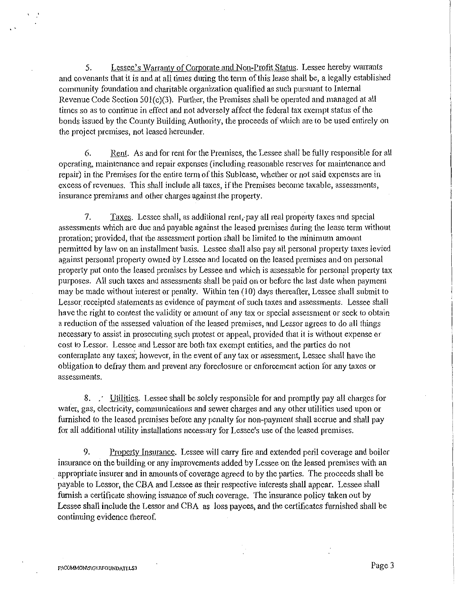5. Lessee's Warranty of Corporate and Non-Profit Status. Lessee hereby warrants and covenants that it is and at all times during the term of this lease shall be, a legally established community foundation and charitable organization qualified as such pursuant to Internal Revenue Code Section 501(c)(3). Further, the Premises shall be operated and managed at all times so as to continue in effect and not adversely affect the federal tax exempt status of the bonds issued by the County Building Authority, the proceeds of which are to be used entirely on the project premises, not leased hereunder.

6. Rent. As and for rent for the Premises, the Lessee shall be fully responsible for all operating, maintenance and repair expenses (including reasonable reserves for maintenance and repair) in the Premises for the entire tenn of this Sublease, whether or not said expenses are in excess of revenues. This shall include all taxes, if the Premises become taxable, assessments, insurance premiums and other charges against.the property.

7. Taxes. Lessee shall, as additional rent,- pay all real property taxes and special assessments which are due and payable against the leased premises during the lease term without proration; provided, that the assessment portion shall be limited to the minimum amount permitted by law on an installment basis. Lessee shall also pay all personal property taxes levied against personal property owned by Lessee and located on the leased premises and on personal property put onto the leased premises by Lessee and which is assessable for personal property tax purposes. All such taxes and assessments shall be paid on or before the last date when payment may be made without interest or penalty. Within ten (10) days thereafter, Lessee shall submit to Lessor receipted statements as evidence of payment of such taxes and assessments. Lessee shall have the right to contest the validity or amount of any tax or special assessment or seek to obtain a reduction of the assessed valuation of the leased premises, and Lessor agrees to do all things necessary to assist in prosecuting such protest or appeal, provided that it is without expense or cost to Lessor. Lessee and Lessor are both tax exempt entities, and the parties do not contemplate any taxes; however, in the event of any tax or assessment, Lessee shall have the obligation to defray them and prevent any foreclosure or enforcement action for any taxes or assessments.

8. . · Utilities. Lessee shall be solely responsible for and promptly pay all charges for water, gas, electricity, communications and sewer charges and any other utilities used upon or furnished to the leased premises before any penalty for non-payment shall accrue and shall pay for all additional utility installations necessary for Lessee's use of the leased premises.

9. Property Insurance. Lessee will carry fire and extended peril coverage and boiler insurance on the building or any improvements added by Lessee on the leased premises with an appropriate insurer and in amounts of coverage agreed to by the parties. The proceeds shall be payable to Lessor, the CBA and Lessee as their respective interests shall appear. Lessee shall furnish a certificate showing issuance of such coverage. The insurance policy taken out by Lessee shall include the Lessor and CBA as loss payees, and the certificates furnished shall be continuing evidence thereof.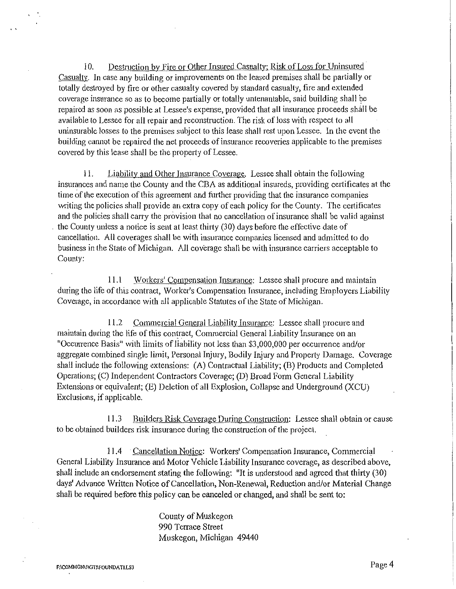I 0. Destruction by Fire or Other Insured Casualty: Risk of Loss for Uninsured Casualty. In case any building or improvements on the leased premises shall be partially or totally destroyed by fire or other casualty covered by standard casualty, fire and extended coverage insurance so as to become partially or totally untenantable, said building shall be repaired as soon as possible at Lessee's expense, provided that all insurance proceeds shall be available to Lessee for all repair and reconstruction. The risk of loss with respect to all uninsurable losses to the premises subject to this lease shall rest upon Lessee. In the event the building carmot be repaired the net proceeds of insurance recoveries applicable to the premises covered by this lease shall be the property of Lessee.

II. Liability and Other Insurance Coverage. Lessee shall obtain the following insurances and name the County and the CBA as additional insureds, providing certificates at the time of the execution of this agreement and further providing that the insurance companies writing the policies shall provide an extra copy of each policy for the County. The certificates and the policies shall carry the provision that no cancellation of insurance shall be valid against the County unless a notice is sent at least thirty (30) days before the effective date of cancellation. All coverages shall be with insurance companies licensed and admitted to do business in the State of Michigan. All coverage shall be with insurance carriers acceptable to County:

11.1 Workers' Compensation Insurance: Lessee shall procure and maintain during the life of this contract, Worker's Compensation Insurance, including Employers Liability Coverage, in accordance with all applicable Statutes of the State of Michigan.

11.2 Commercial General Liability Insurance: Lessee shall procure and maintain during the life of this contract, Commercial General Liability Insurance on an "Occunence Basis" with limits of liability not less than \$3,000,000 per occurrence and/or aggregate combined single limit, Personal Injury, Bodily Injury and Property Damage. Coverage shall include the following extensions: (A) Contractual Liability; (B) Products and Completed Operations; (C) Independent Contractors Coverage; (D) Broad Form General Liability Extensions or equivalent; (E) Deletion of all Explosion, Collapse and Underground (XCU) Exclusions, if applicable.

11.3 Builders Risk Coverage During Construction: Lessee shall obtain or cause to be obtained builders risk insurance during the construction of the project.

11.4 Cancellation Notice: Workers' Compensation Insurance, Commercial General Liability Insurance and Motor Vehicle Liability Insurance coverage, as described above, shall include an endorsement stating the following: "It is understood and agreed that thirty (30) days' Advance Written Notice of Cancellation, Non-Renewal, Reduction and/or Material Change shall be required before this policy can be canceled or changed, and shall be sent to:

> County of Muskegon 990 Terrace Street Muskegon, Michigan 49440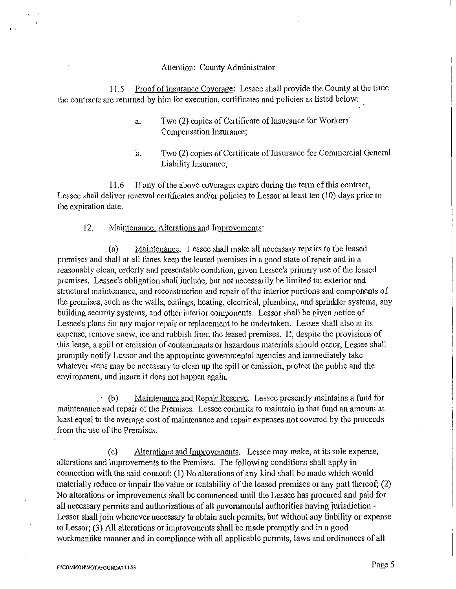# Attention: County Administrator

11.5 Proof of Insurance Coverage: Lessee shall provide the County at the time the contracts are returned by him for execution, certificates and policies as listed below:

- a. Two (2) copies of Certificate of Insurance for Workers' Compensation Insurance;
- b. Two (2) copies of Certificate of Insurance for Commercial General Liability Insurance;

11.6 If any of the above coverages expire during the term of this contract, Lessee shall deliver renewal certificates and/or policies to Lessor at least ten (10) days prior to the expiration date.

# 12. Maintenance, Alterations and Improvements:

(a) Maintenance. Lessee shall make all necessary repairs to the leased premises and shall at all times keep the leased premises in a good state of repair and in a reasonably clean, orderly and presentable condition, given Lessee's primary use of the leased premises. Lessee's obligation shall include, but not necessarily be limited to: exterior and structural maintenance, and reconstruction and repair of the interior portions and components of the premises, such as the walls, ceilings, heating, electrical, plumbing, and sprinkler systems, any building security systems, and other interior components. Lessor shall be given notice of Lessee's plans for any major repair or replacement to be undertaken. Lessee shall also at its expense, remove snow, ice and rubbish from the leased premises. If, despite the provisions of this lease, a spill or emission of contaminants or hazardous materials should occur, Lessee shall promptly notify Lessor and the appropriate governmental agencies and immediately take whatever steps may be necessary to clean up the spill or emission, protect the public and the environment, and insure it does not happen again.

 $\cdot$  (b) Maintenance and Repair Reserve. Lessee presently maintains a fund for maintenance and repair of the Premises. Lessee conunits to maintain in that fund an amount at least equal to the average cost of maintenance and repair expenses not covered by the proceeds from the use of the Premises.

(c) Alterations and Improvements. Lessee may make, at its sole expense, alterations and improvements to the Premises. The following conditions shall apply in connection with the said consent: (1) No alterations of any kind shall be made which would materially reduce or impair the value or rentability of the leased premises or any part thereof;  $(2)$ No alterations or improvements shall be commenced until the Lessee has procured and paid for all necessary permits and authorizations of all governmental authorities having jurisdiction -Lessor shall join whenever necessary to obtain such permits, but without any liability or expense to Lessor; (3) All alterations or improvements shall be made promptly and in a good workmanlike manner and in compliance with all applicable permits, laws and ordinances of all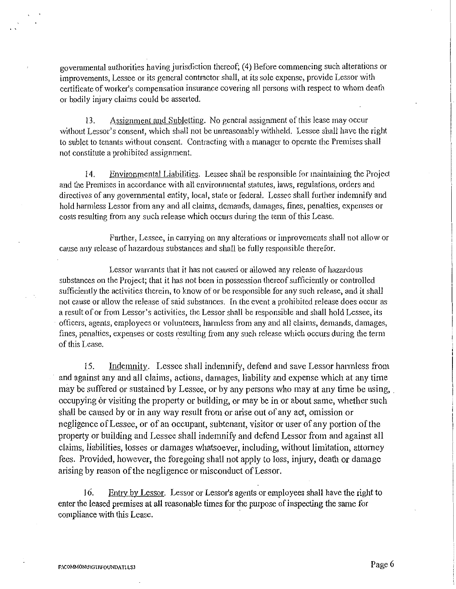governmental authorities having jurisdiction thereof; (4) Before commencing such alterations or improvements, Lessee or its general contractor shall, at its sole expense, provide Lessor with certificate of worker's compensation insurance covering all persons with respect to whom death or bodily injury claims could be asserted.

13. Assignment and Subletting. No general assignment of this lease may occur without Lessor's consent, which shall not be unreasonably withheld. Lessee shall have the right to sublet to tenants without consent. Contracting with a manager to operate the Premises shall not constitute a prohibited assignment.

14. Environmental Liabilities. Lessee shall be responsible for maintaining the Project and the Premises in accordance with all environmental statutes, laws, regulations, orders and directives of any governmental entity, local, state or federal. Lessee shall further indemnify and hold harmless Lessor from any and all claims, demands, damages, fines, penalties, expenses or costs resulting from any such release which occurs during the tenn of this Lease.

Further, Lessee, in carrying on any alterations or improvements shall not allow or cause any release of hazardous substances and shall be fully responsible therefor.

Lessor warrants that it has not caused or allowed any release of hazardous substances on the Project; that it has not been in possession thereof sufficiently or controlled sufficiently the activities therein, to know of or be responsible for any such release, and it shall not cause or allow the release of said substances. In the event a prohibited release does occur as a result of or from Lessor's activities, the Lessor shall be responsible and shall hold Lessee, its officers, agents, employees or volunteers, harmless from any and all claims, demands, damages, fines, penalties, expenses or costs resulting from any such release which occurs during the term of this Lease.

15. Indemnity. Lessee shall indemnify, defend and save Lessor harmless from and against any and all claims, actions, damages, liability and expense which at any time may be suffered or sustained by Lessee, or by any persons who may at any time be using, . occupying or visiting the property or building, or may be in or about same, whether such shall be caused by or in any way result from or arise out of any act, omission or negligence of Lessee, or of an occupant, subtenant, visitor or user of any portion of the property or building and Lessee shall indemnity and defend Lessor from and against all claims, liabilities, losses or damages whatsoever, including, without limitation, attorney fees. Provided, however, the foregoing shall not apply to loss, injury, death or damage arising by reason of the negligence or misconduct of Lessor.

16. Entry by Lessor. Lessor or Lessor's agents or employees shall have the right to enter the leased premises at all reasonable times for the putpose of inspecting the same for compliance with this Lease.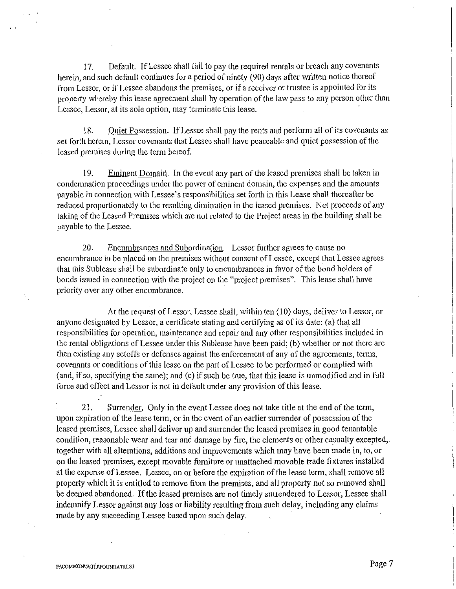17. Default. If Lessee shall fail to pay the required rentals or breach any covenants herein, and such default continues for a period of ninety (90) days after written notice thereof from Lessor, or if Lessee abandons the premises, or if a receiver or trustee is appointed for its property whereby this lease agreement shall by operation of the law pass to any person other than Lessee, Lessor, at its sole option, may terminate this lease.

18. Quiet Possession. If Lessee shall pay the rents and perform all of its covenants as set forth herein, Lessor covenants that Lessee shall have peaceable and quiet possession of the leased premises during the term hereof.

19. Eminent Domair\. In the event any part of the leased premises shall be taken in condemnation proceedings under the power of eminent domain, the expenses and the amounts payable in cmmection with Lessee's responsibilities set forth in this Lease shall thereafter be reduced proportionately to the resulting diminution in the leased premises. Net proceeds of any taking of the Leased Premises which are not related to the Project areas in the building shall be payable to the Lessee.

20. Encumbrances and Subordination. Lessor further agrees to cause no encumbrance to be placed on the premises without consent of Lessee, except that Lessee agrees that this Sublease shall be subordinate only to encumbrances in favor of the bond holders of bonds issued in connection with the project on the "project premises". This lease shall have priority over any other encumbrance.

At the request of Lessor, Lessee shall, within ten (10) days, deliver to Lessor, or anyone designated by Lessor, a certificate stating and certifying as of its date: (a) that all responsibilities for operation, maintenance and repair and any other responsibilities included in the rental obligations of Lessee under this Sublease have been paid; (b) whether or not there are then existing any setoffs or defenses against the enforcement of any of the agreements, terms, covenants or conditions of this lease on the part of Lessee to be performed or complied with (and, if so, specifYing the same); and (c) if such be true, that this lease is unmodified and in full force and effect and Lessor is not in default under any provision of this lease.

21. Surrender. Only in the event Lessee does not take title at the end of the tenn, upon expiration of the lease tenn, or in the event of an earlier surrender of possession of the leased premises, Lessee shall deliver up and surrender the leased premises in good tenantable condition, reasonable wear and tear and damage by fire, the elements or other casualty excepted, together with all alterations, additions and improvements which may have been made in, to, or on the leased premises, except movable furniture or unattached movable trade fixtures installed at the expense of Lessee. Lessee, on or before the expiration of the lease term, shall remove all property which it is entitled to remove from the premises, and all property not so removed shall be deemed abandoned. If the leased premises are not timely surrendered to Lessor, Lessee shall indemnifY Lessor against any loss or liability resulting from such delay, including any claims made by any succeeding Lessee based upon such delay.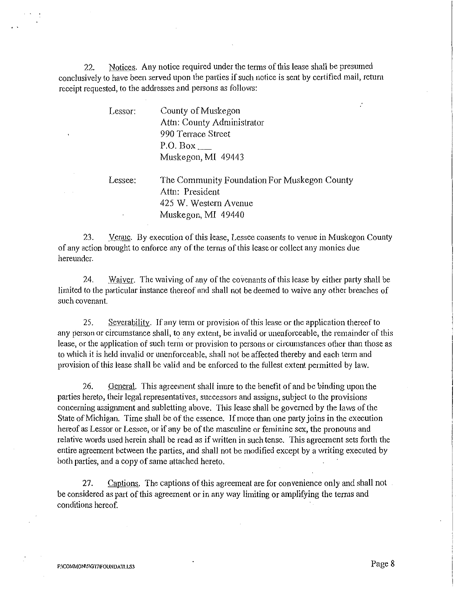22. Notices. Any notice required under the terms of this lease shall be presumed conclusively to have been served upon the parties if such notice is sent by certified mail, return receipt requested, to the addresses and persons as follows:

| Lessor: | County of Muskegon                           |
|---------|----------------------------------------------|
|         | Attn: County Administrator                   |
|         | 990 Terrace Street                           |
|         | P.O. Box                                     |
|         | Muskegon, MI 49443                           |
| Lessee: | The Community Foundation For Muskegon County |
|         | Attn: President                              |
|         | 425 W. Western Avenue                        |
|         | Muskegon, MI 49440                           |

23. Venue. By execution of this lease, Lessee consents to venue in Muskegon County of any action brought to enforce any of the terms of this lease or collect any monies due hereunder.

24. Waiver. The waiving of any of the covenants of this lease by either party shall be limited to the particular instance thereof and shall not be deemed to waive any other breaches of such covenant.

25. Severability. If any term or provision of this lease or the application thereof to any person or circumstance shall, to any extent, be invalid or unenforceable, the remainder of this lease, or the application of such term or provision to persons or circumstances other than those as to which it is held invalid or unenforceable, shall not be affected thereby and each term and provision of this lease shall be valid and be enforced to the fullest extent permitted by law.

26. General. This agreement shall inure to the benefit of and be binding upon the parties heretp, their legal representatives, successors and assigns, subject to the provisions conceming assignment and subletting above. This lease shall be governed by the laws of the State of Michigan. Time shall be of the essence. If more than one party joins in the execution hereof as Lessor or Lessee, or if any be of the masculine or feminine sex, the pronouns and relative words used herein shall be read as if written in such tense. This agreement sets forth the entire agreement between the parties, and shall not be modified except by a writing executed by both parties, and a copy of same attached hereto.

27. Captions. The captions of this agreement are for convenience only and shall not be considered as part of this agreement or in any way limiting or amplifying the terms and conditions hereof.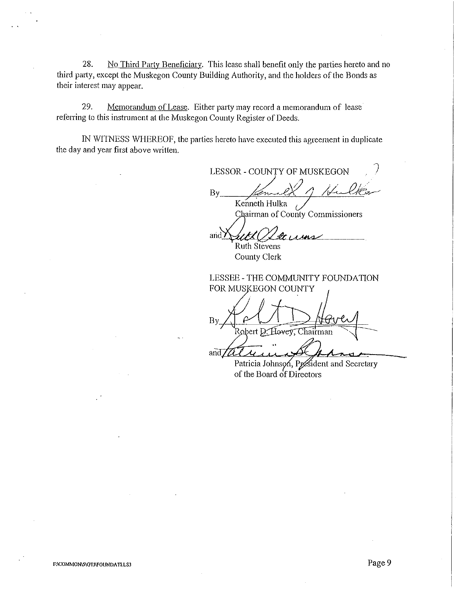28. No Third Party Beneficiary. This lease shall benefit only the parties hereto and no third patty, except the Muskegon County Building Authority, and the holders of the Bonds as their interest may appear.

29. Memorandum of Lease. Either party may record a memorandum of lease referring to this instrument at the Muskegon County Register of Deeds.

IN WITNESS WHEREOF, the parties hereto have executed this agreement in duplicate the day and year first above written.

LESSOR- COUNTY OF MUSKEGON  $By$  family of Hulker Kenneth Hulka 1

Chairman of County Commissioners

ut!(  $x_1$ and 7 Ruth Stevens

County Clerk

LESSEE - THE COMMUNITY FOUNDATION FOR MUSKEGON COUNTY

By Robert D. Hovey, Chairman and  $\mathbb{Z}$ 

Patricia Johnson, President and Secretary of the Board of Directors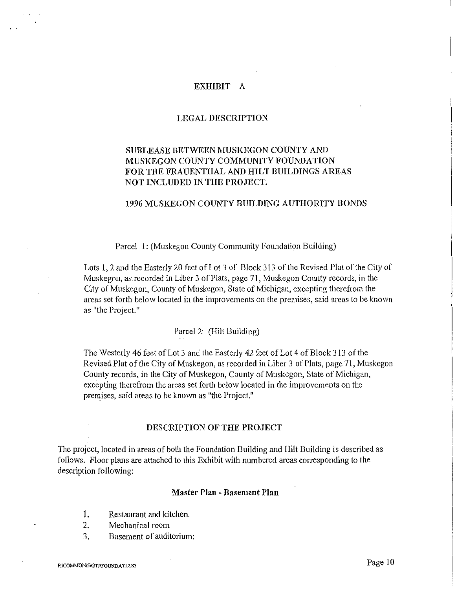## EXHIBIT A

## LEGAL DESCRIPTION

# SUBLEASE BETWEEN MUSKEGON COUNTY AND MUSKEGON COUNTY COMMUNITY FOUNDATION FOR THE FRAUENTHAL AND HILT BUILDINGS AREAS NOT INCLUDED IN THE PROJECT.

# 1996 MUSKEGON COUNTY BUILDING AUTHORITY BONDS

Parcel I: (Muskegon County Community Foundation Building)

Lots I, 2 and the Easterly 20 feet of Lot 3 of Block 313 of the Revised Plat of the City of Muskegon, as recorded in Liber 3 of Plats, page 71, Muskegon County records, in the City of Muskegon, County of Muskegon, State of Michigan, excepting therefrom the areas set forth below located in the improvements on the premises, said areas to be known as "the Project."

Parcel 2: (Hilt Building)

The Westerly 46 feet of Lot 3 and the Easterly 42 feet of Lot 4 of Block 313 of the Revised Plat of the City of Muskegon, as recorded in Liber 3 of Plats, page 71, Muskegon County records, in the City of Muskegon, County of Muskegon, State of Michigan, excepting therefrom the areas set forth below located in the improvements on the premises, said areas to be known as "the Project."

## DESCRIPTION OF THE PROJECT

The project, located in areas of both the Foundation Building and Hilt Building is described as follows. Floor plans are attached to this Exhibit with numbered areas corresponding to the description following:

# Master Plan- Basement Plan

- I. Restaurant and kitchen.
- 2. Mechanical room
- 3. Basement of auditorium: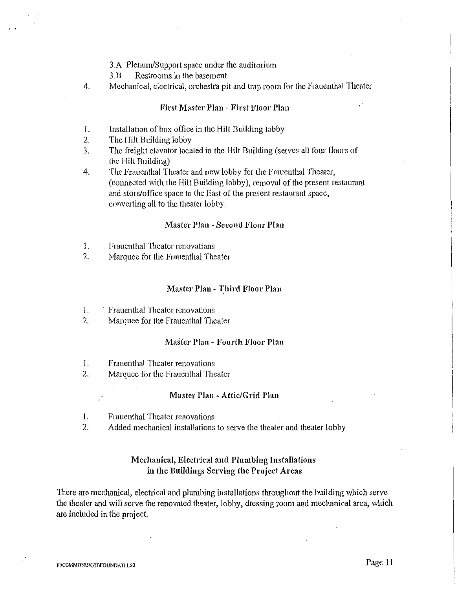3 .A Plenum/Support space under the auditorium

3 .B Restrooms in the basement

4. Mechanical, electrical, orchestra pit and trap room for the Frauenthal Theater

## First Master Plan - First Floor Plan

- I. Installation of box office in the Hilt Building lobby
- 2. The Hilt Building lobby
- 3. The freight elevator located in the Hilt Building (serves all four floors of the Hilt Building)
- 4. The Frauenthal Theater and new lobby for the Frauenthal Theater, (connected with the Hilt Building lobby), removal of the present restaurant and store/office space to the East of the present restaurant space, converting all to the theater lobby.

### Master Plan - Second Floor Plan

- I. Frauenthal Theater renovations
- 2. Marquee for the Frauenthal Theater

## Master Plan -Third Floor Plan

- 1. Frauenthal Theater renovations
- 2. Marquee for the Frauenthal Theater

### Master Plan- Fourth Floor Plan

- I. Frauenthal Theater renovations
- 2. Marquee for the Frauenthal Theater

#### Master Plan -Attic/Grid Plan

- I. Frauenthal Theater renovations
- 2. Added mechanical installations to serve the theater and theater lobby

# Mechanical, Electrical and Plumbing Installations in the Buildings Serving the Project Areas

There are mechanical, electrical and plumbing installations throughout the building which serve the theater and will serve the renovated theater, lobby, dressing room and mechanical area, which are included in the project.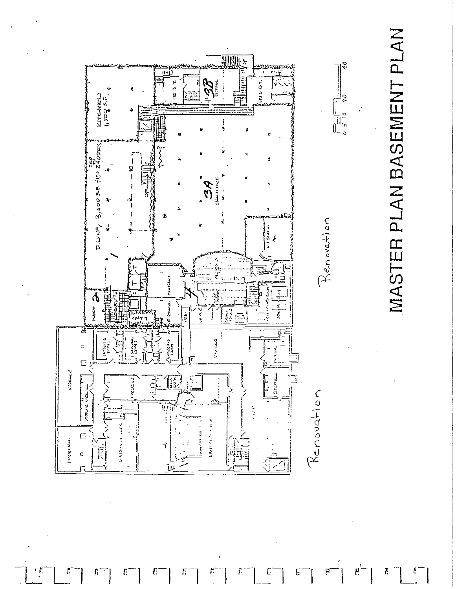



ŗ,

Ę

Г,

f:

£,

Ę

f.

ſ.

E

Ë

۴

Ķ

f.

Č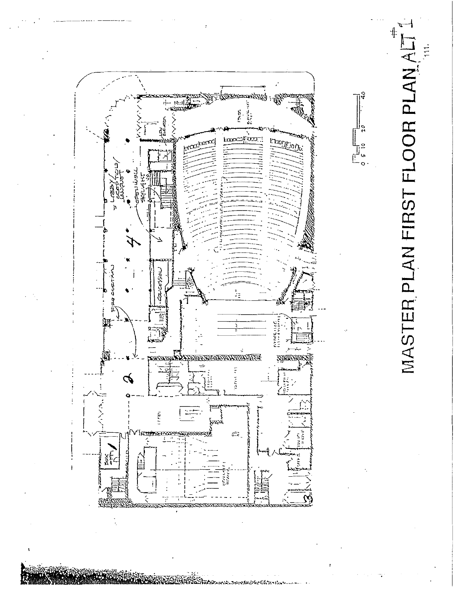

MASTER PLAN FIRST FLOOR PLAN AL É

|<br>| | | |<br>| | 0<br>| | 0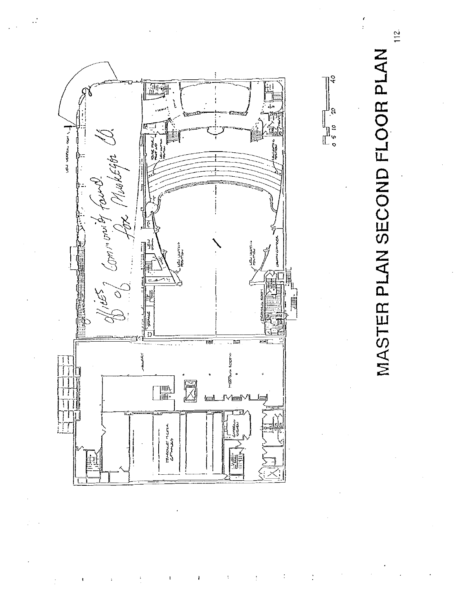

MASTER PLAN SECOND FLOOR PLAN

 $112.$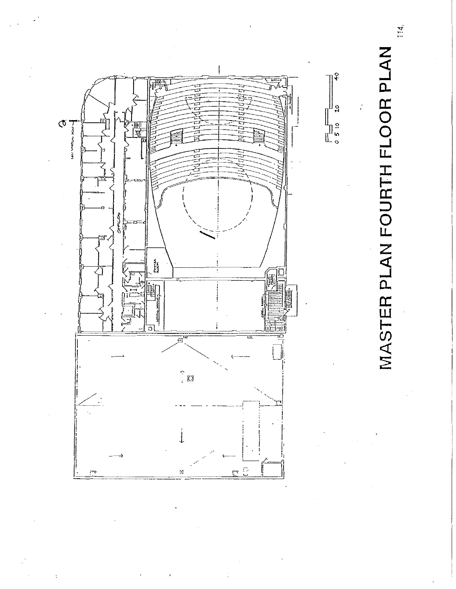

MASTER PLAN FOURTH FLOOR PLAN

 $\boldsymbol{\varphi}$ 

 $20$ 

114.